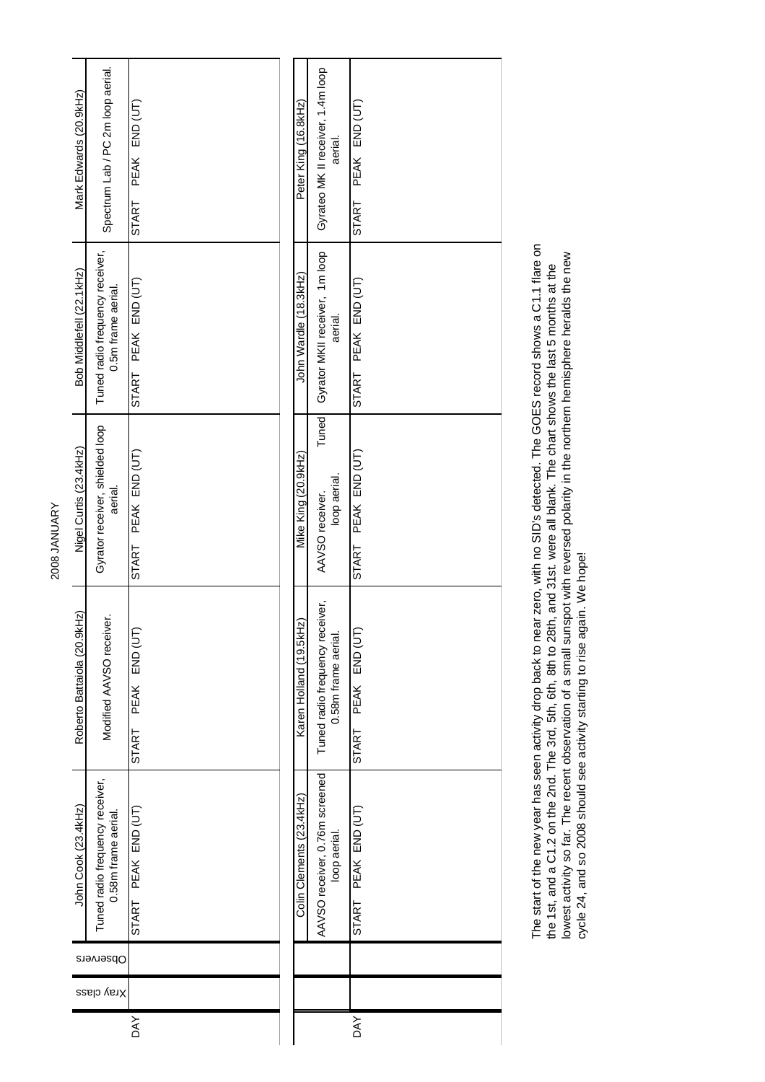| Mark Edwards (20.9kHz)      | Spectrum Lab / PC 2m loop aerial.                      | PEAK END (UT)<br><b>START</b> | Peter King (16.8kHz)                      | Gyrateo MK II receiver, 1.4m loop<br>aerial.          | PEAK END (UT)<br><b>START</b> |
|-----------------------------|--------------------------------------------------------|-------------------------------|-------------------------------------------|-------------------------------------------------------|-------------------------------|
| Bob Middlefell (22.1kHz)    | Tuned radio frequency receiver,<br>0.5m frame aerial.  | START PEAK END (UT)           | John Wardle (18.3kHz)                     | Gyrator MKII receiver, 1m loop<br>aerial.             | START PEAK END (UT)           |
| Nigel Curtis (23.4kHz)      | Gyrator receiver, shielded loop<br>aerial.             | START PEAK END (UT)           | Mike King (20.9kHz)                       | Tuned<br>loop aerial.<br>AAVSO receiver.              | START PEAK END (UT)           |
| Roberto Battaiola (20.9kHz) | Modified AAVSO receiver.                               | PEAK END (UT)<br>START        | H <sub>2</sub> )<br>Karen Holland (19.5kl | Tuned radio frequency receiver,<br>0.58m frame aerial | PEAK END (UT<br><b>START</b>  |
| John Cook (23.4kHz)         | Tuned radio frequency receiver,<br>0.58m frame aerial. | START PEAK END (UT)           | Colin Clements (23.4kHz)                  | AAVSO receiver, 0.76m screened<br>loop aerial.        | START PEAK END (UT)           |
|                             | Observers                                              |                               |                                           |                                                       |                               |
|                             | Xray class                                             |                               |                                           |                                                       |                               |
|                             |                                                        | DAY                           |                                           |                                                       | <b>DAY</b>                    |

The start of the new year has seen activity drop back to near zero, with no SID's detected. The GOES record shows a C1.1 flare on<br>the 1st, and a C1.2 on the 2nd. The 3rd, 5th, 6th, 8th to 28th, and 31st. were all blank. Th The start of the new year has seen activity drop back to near zero, with no SID's detected. The GOES record shows a C1.1 flare on lowest activity so far. The recent observation of a small sunspot with reversed polarity in the northern hemisphere heralds the new the 1st, and a C1.2 on the 2nd. The 3rd, 5th, 6th, 8th to 28th, and 31st. were all blank. The chart shows the last 5 months at the cycle 24, and so 2008 should see activity starting to rise again. We hope!

2008 JANUARY 2008 JANUARY